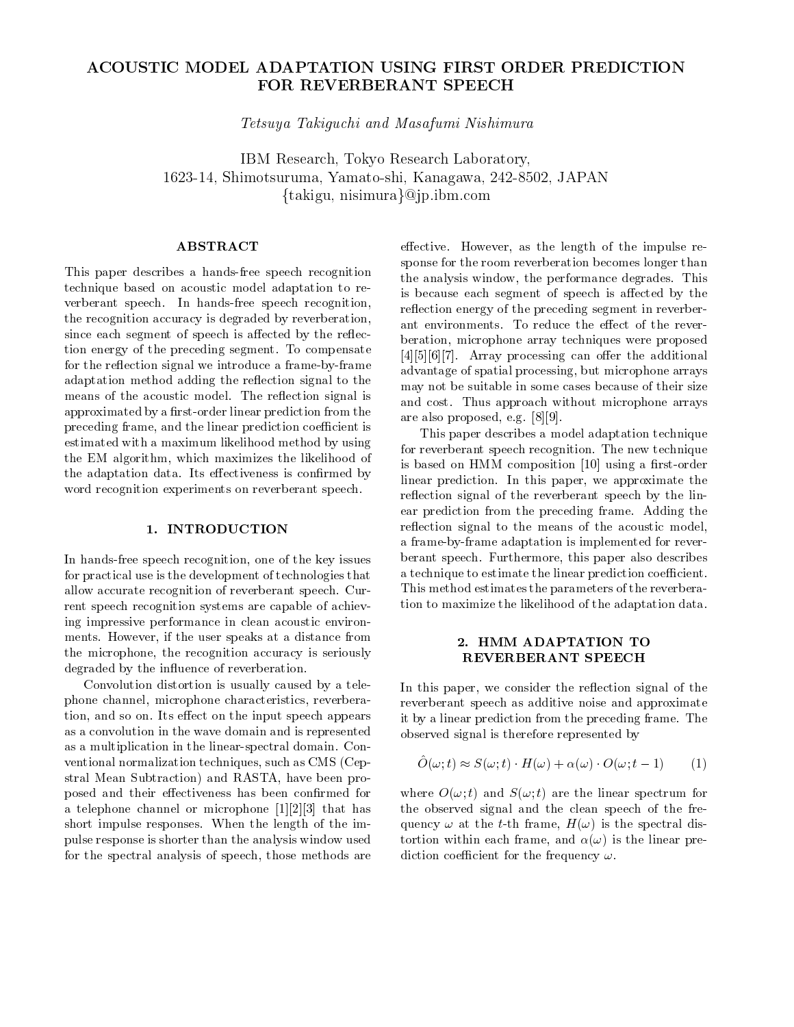## ACOUSTIC MODEL ADAPTATION USING FIRST ORDER PREDICTION FOR REVERBERANT SPEECH

Tetsus Takigun Takigun Masaratan Masaratan Takigun Masaratan Takigun Masaratan Masaratan Masaratan Masaratan M

IBM Research Tokyo Research Laboratory - Shimotsuruma Yamatoshi Kanagawa JAPAN  $\{\mathrm{takingu},\ \text{nisimura}\} @{\mathrm{j}}\mathrm{p}.\mathrm{ibm.com}$ 

## **ABSTRACT**

This paper describes a hands-free speech recognition technique based on acoustic model adaptation to re verberant speech. In hands-free speech recognition, the recognition accuracy is degraded by reverberation, since each segment of speech is affected by the reflection energy of the preceding segment. To compensate for the reflection signal we introduce a frame-by-frame adaptation method adding the reflection signal to the means of the acoustic model. The reflection signal is approximated by a first-order linear prediction from the preceding frame- prediction prediction coefficient is the second of the property of the property of the property of the property of the property of the property of the property of the property of the property of the proper estimated with amaximum likelihood method by using the EM algorithm- which maximizes the likelihood of the likelihood of the likelihood of the likelihood of the li the adaptation data. Its effectiveness is confirmed by word recognition experiments on reverberant speech

### 1. INTRODUCTION

in the speech recognition-  $\mathcal{L}$  is the key issues the key issues that the key issues the key issues the key for practical use isthe development of technologies that allow accurate recognition of reverberant speech Cur rent speech recognition systems are capable of achiev ing impressive performance in clean acoustic environ ments However- if the user speaks at a distance from the microphone- the recognition accuracy is seriously in the recognition accuracy is seriously accuracy in the degraded by the influence of reverberation.

Convolution distortion is usually caused by a tele phone characters and characteristics-characteristics-characteristics-characteristics-characteristics-characteristics tion- and so on Its entitle in the input speech appears on Its entitle in the input speech appears on the input speech appears on Its entitle in the input speech appears on Its entitle in the input speech appears on Its en as a convolution in the wave domain and is represented as a multiplication in the linear-spectral domain. Conventional normalization techniques-controller such as CMS Cepters-controller such as CMS Cepters-controller such as CMS Cepters and CMS Cepters and CMS Cepters and CMS Cepters and CMS Cepters and CMS Cepters and CMS Cepter stral means plus versions, when subspace when a strate provided and results of the strategies of the strategies posed and their effectiveness has been confirmed for a telephone channel or microphone  $\mathbb{P}^{n}$  is the channel of the state short impulse responses. When the length of the impulse response is shorter than the analysis window used for the spectral analysis of speech- those methods are

reflection energy of the preceding segment in reverberant environments. To reduce the effect of the revereective However-However-However-However-However-However-However-However-However-However-However-However-However-However-However-However-However-However-However-However-However-However-However-However-However-However-Howeve sponse for the room reverberation becomes longer than the analysis window-the performance degrades This window-the performance degrades This windows are the performance of the performance of the performance of the performance of the performance of the performance of the perfo is because each segment of speech is affected by the beration- microphone array techniques were proposed  $[4][5][6][7]$ . Array processing can offer the additional advantage of spatial processing- but microphone arrays may not be suitable in some cases because of their size and cost. Thus approach without microphone arrays are also proposed-by a construction of the construction of the construction of the construction of the construction of the construction of the construction of the construction of the construction of the construction of the

This paper describes a model adaptation technique for reverberant speech recognition. The new technique is based on HMM composition  $\mathbb{N}$  rstorders and  $\mathbb{N}$ linear prediction In this paper- we approximate the reflection signal of the reverberant speech by the linear prediction from the preceding frame. Adding the reflection signal to the means of the acoustic model, a frame-by-frame adaptation is implemented for reverberant speech Furthermore-International paper also describes the paper also describes the paper also describes a technique to estimate the linear prediction coefficient. This method estimates the parameters of the reverbera tion to maximize the likelihood of the adaptation data

# REVERBERANT SPEECH

In this paper- we consider the reection signal of the reverberant speech as additive noise and approximate it by a linear prediction from the preceding frame. The observed signal is therefore represented by

$$
\hat{O}(\omega; t) \approx S(\omega; t) \cdot H(\omega) + \alpha(\omega) \cdot O(\omega; t - 1) \tag{1}
$$

where  $O(\omega; t)$  and  $S(\omega; t)$  are the linear spectrum for the observed signal and the clean speech of the fre quency at the the time-spectrum of the spectral distribution and the spectral distribution of the spectral distribution of the spectral distribution of the spectral distribution of the spectral distribution of the spectral tortion with the linear frame-  $\alpha$  is the linear present present present and a second present and a second present and a second present and a second present and a second problem of the second problem of the second problem diction coefficient for the frequency  $\omega$ .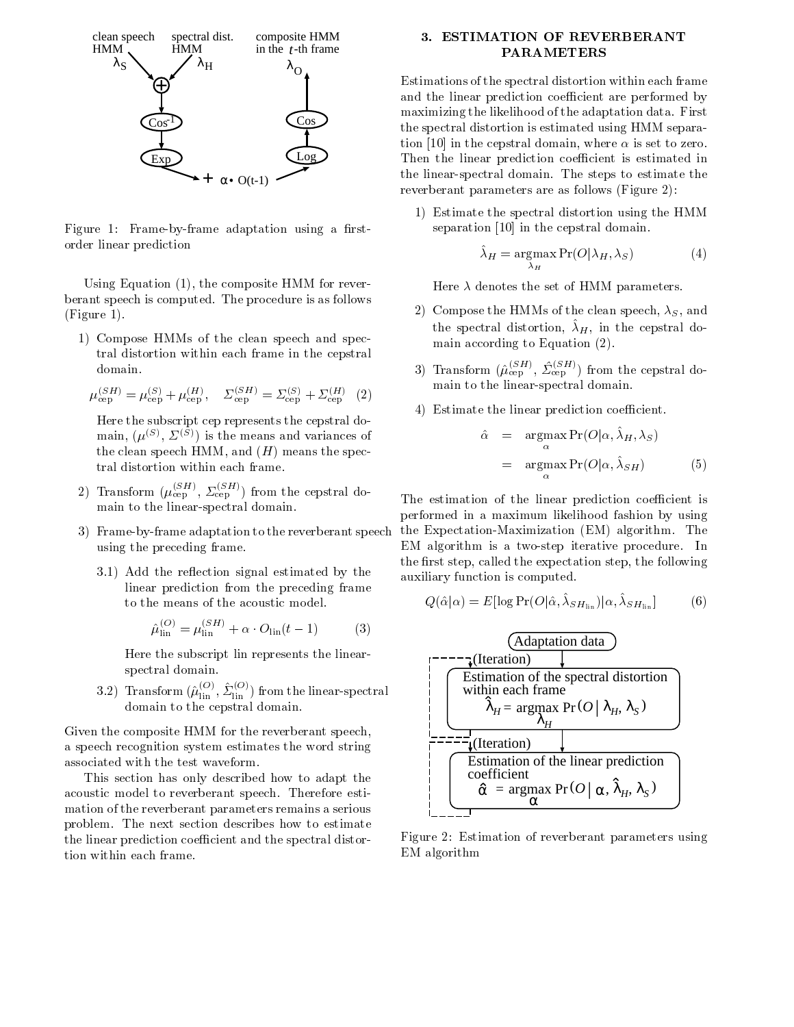

Figure Framebyframe adaptation using a rst order linear prediction

- the composite HMM for reverse the composite HMM for reverse the composite HMM for reverse the composite HMM for reverse the composite HMM for reverse the composite HMM for reverse the composite HMM for reverse the compos berant speech is computed. The procedure is as follows  $F = F \cdot F$ 

 Compose HMMs of the clean speech and spec tral distortion within each frame in thecepstral domain

$$
\mu_{\text{cep}}^{(SH)} = \mu_{\text{cep}}^{(S)} + \mu_{\text{cep}}^{(H)}, \quad \Sigma_{\text{cep}}^{(SH)} = \Sigma_{\text{cep}}^{(S)} + \Sigma_{\text{cep}}^{(H)} \quad (2)
$$

Here the subscript cep represents the cepstral do  $max, (\mu^{s-1}, \Delta^{s-1})$  is the means and variances of the clean speech HMM-species in the species of the species of the species of the species of the species of the tral distortion within each frame

- 2) Transform  $(\mu_{\rm cen}^{\rm cen}$ ,  $\Sigma_{\rm cen}^{\rm cen}$  from the cepstral domain to the linear-spectral domain.
- 3) Frame-by-frame adaptation to the reverberant speech using the preceding frame
	- add the rest restaurance of the restaurance of the additional control of the state of the state of the state o linear prediction from the preceding frame to the means of the acoustic model.

$$
\hat{\mu}_{\text{lin}}^{(O)} = \mu_{\text{lin}}^{(SH)} + \alpha \cdot O_{\text{lin}}(t-1) \tag{3}
$$

Here the subscript lin represents the linear spectral domain

3.2) Transform  $(\mu_{\text{lin}}^{\text{max}}, \Sigma_{\text{lin}}^{\text{max}})$  from the linear-spectral  $\qquad$  | domain to the cepstral domain

Given the composite HMM for the reverberant speech, a speech recognition system estimates the word string associated with the test waveform.

This section has only described how to adapt the acoustic model to reverberant speech. Therefore estimation of the reverberant parameters remains a serious problem. The next section describes how to estimate the linear prediction coefficient and the spectral distortion within each frame

## PARAMETERS

Estimations of the spectral distortion within each frame and the linear prediction coefficient are performed by maximizing the likelihood of the adaptation data. First the spectral distortion is estimated using HMM separa tion in the cepstral domain-domain-domain-domain-domain-domain-domain-domain-domain-domain-domain-domain-domai Then the linear prediction coefficient is estimated in the linear-spectral domain. The steps to estimate the reverberant parameters are as follows (Figure 2):

 Estimate the spectral distortion using the HMM separation in the contract of the contract of the contract of the contract of the contract of the contract of the

$$
\hat{\lambda}_H = \underset{\lambda_H}{\text{argmax}} \Pr(O|\lambda_H, \lambda_S) \tag{4}
$$

Here  $\lambda$  denotes the set of HMM parameters.

- , and the HMMs of the component of the component of the component of the component of the component of the component of the component of the component of the component of the component of the component of the component of the spectral distortion,  $\Delta H$ , in the cepstral domain according to Equation (2).
- 3) Transform ( $\mu_{\rm cep}$  ',  $\Sigma_{\rm cep}$  ') from the cepstral domain to the linear-spectral domain.
- 4) Estimate the linear prediction coefficient.

$$
\hat{\alpha} = \underset{\alpha}{\operatorname{argmax}} \Pr(O|\alpha, \hat{\lambda}_H, \lambda_S)
$$
  
=  $\underset{\alpha}{\operatorname{argmax}} \Pr(O|\alpha, \hat{\lambda}_{SH})$  (5)

The estimation of the linear prediction coefficient is performed in a maximum likelihood fashion by using the Expectation-Maximization (EM) algorithm. The EM algorithm is a two-step iterative procedure. In the rst step- called the expectation step- the following auxiliary function is computed

$$
Q(\hat{\alpha}|\alpha) = E[\log \Pr(O|\hat{\alpha}, \hat{\lambda}_{SH_{lin}})|\alpha, \hat{\lambda}_{SH_{lin}}]
$$
(6)



Figure 2: Estimation of reverberant parameters using EM algorithm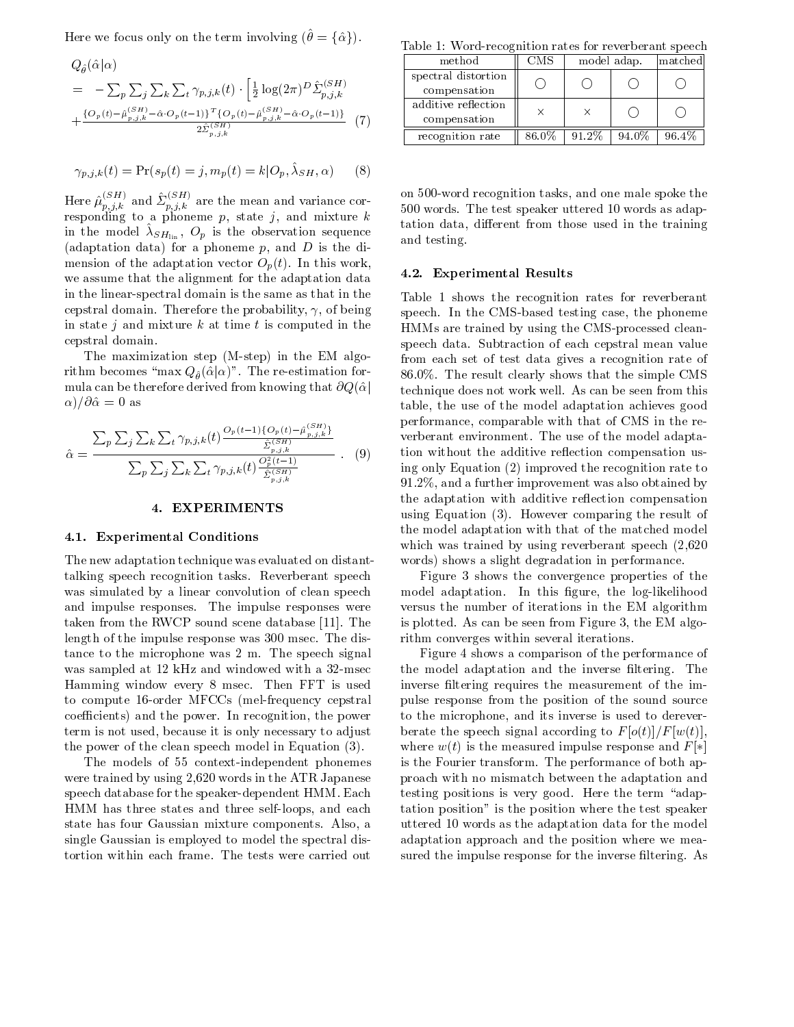Here we focus only on the term involving  $(\theta = {\hat{\alpha}})$ .

$$
Q_{\hat{\theta}}(\hat{\alpha}|\alpha) = -\sum_{p} \sum_{j} \sum_{k} \sum_{t} \gamma_{p,j,k}(t) \cdot \left[ \frac{1}{2} \log(2\pi)^{D} \hat{\Sigma}_{p,j,k}^{(SH)} \right] \text{spectra}^{SBig}
$$
\n
$$
+ \frac{\{O_p(t) - \hat{\mu}_{p,j,k}^{(SH)} - \hat{\alpha} \cdot O_p(t-1)\}^T \{O_p(t) - \hat{\mu}_{p,j,k}^{(SH)} - \hat{\alpha} \cdot O_p(t-1)\}}{2 \hat{\Sigma}_{p,j,k}^{(SH)}} \quad (7)
$$
\n
$$
\text{temp} \quad \text{temp} \quad \text{temp} \quad \text{temp} \quad \text{temp} \quad \text{temp} \quad \text{temp}
$$

$$
\gamma_{p,j,k}(t) = \Pr(s_p(t) = j, m_p(t) = k | O_p, \hat{\lambda}_{SH}, \alpha)
$$
 (8)

Here  $\mu_{n,i,k}^{\text{max}}$  and  $\sum_{n,i,k}^{\text{max}}$  are the mean and variance corresponding to a phoneme p- state it and mixture to a phone it and mixture killed In the model  $\lambda S H_{lin}$ ,  $\mathcal{O}_p$  is the observation sequence and testing adaptation data for a phoneme p- and <sup>D</sup> is the di mension of the adaptation vector  $O_p(t)$ . In this work, we assume that the alignment for the adaptation data in the linear-spectral domain is the same as that in the cepsion domain Therefore the probabilityin state j and mixture k at time t is computed in the cepstral domain

The maximization step (M-step) in the EM algorithm becomes "max  $Q_{\hat{\theta}}(\hat{\alpha}|\alpha)$ ". The re-estimation for-  $86.0\%$  Th mula can be therefore derived from knowing that  $\partial Q(\hat{\alpha})$  $\alpha$ )/ $\partial \hat{\alpha} = 0$  as

$$
\hat{\alpha} = \frac{\sum_{p} \sum_{j} \sum_{k} \sum_{t} \gamma_{p,j,k}(t) \frac{O_{p}(t-1) \{O_{p}(t) - \hat{\mu}_{p,j,k}^{(SH)}\}}{\hat{\Sigma}_{p,j,k}^{(SH)}}}{\sum_{p} \sum_{j} \sum_{k} \sum_{t} \gamma_{p,j,k}(t) \frac{O_{p}^{2}(t-1)}{\hat{\Sigma}_{p,j,k}^{(SH)}}}{\sum_{p,j,k}^{(SH)}}}
$$
 (9)

#### EXPERIMENTS

#### Experimental Conditions

The new adaptation technique was evaluated on distant talking speech recognition tasks. Reverberant speech was simulated by a linear convolution of clean speech and impulse responses The impulse responses were taken from the RWCP sound scene database sound scene database sound scene database sound scene database sound length of the impulse response was 300 msec. The distance to the microphone was  $2 \text{ m}$ . The speech signal was sampled at the model windows and with a second to the second contract of the second second second second s Hamming window every 8 msec. Then FFT is used to compute at taxet and cover passed to present the protection of the co coecients and the power in the power In recognitionterm is not used- because it is only necessary to adjust the power of the clean speech model in Equation

The models of 55 context-independent phonemes were trained by using -1.2 words in the case in the atom present with  $\sim$ speech database for the speaker-dependent HMM. Each HMM has three states and three self-loops, and each state has four Gaussian mixture components. Also, a single Gaussian is employed to model the spectral dis tortion within each frame The tests were carried out

Table Wordrecognition rates for reverberant speech

| method                              | $_{\rm CMS}$ | model adap. |       | matched |
|-------------------------------------|--------------|-------------|-------|---------|
| spectral distortion<br>compensation |              |             |       |         |
| additive reflection<br>compensation | $\times$     | $\times$    |       |         |
| recognition rate                    | 86.0%        | 91.2%       | 94.0% | 96.4%   |

on word recognition tasks- and one male spoke the words The test speaking the test speaker uttered the test speaker utterly the test of the speaker of the speaker of the speaker of the speaker of the speaker of the speaker of the speaker of the speaker of the speaker of t tation data- dierent from those used in the training and testing

#### - Experimental Results

 of being speech In the CMSbased testing case- the phoneme  $\lambda = 1$ Table shows the recognition rates for reverberant HMMs are trained by using the CMS-processed cleanspeech data. Subtraction of each cepstral mean value from each set of test data gives a recognition rate of 86.0%. The result clearly shows that the simple CMS technique does not work well As can be seen from this table- the use of the model adaptation achieves good performance with the comparable with the comparable with the comparable with the comparable with the comparable with  $\alpha$ verberant environment. The use of the model adaptation without the additive reflection compensation using only Equation  $(2)$  improved the recognition rate to - and a further improvement was also obtained by the adaptation with additive reflection compensation using Equation (3). However comparing the result of the model adaptation with that of the matched model which was trained by using reverbers speech  $\mu$  ,  $\mu$  ,  $\mu$  ,  $\mu$ words) shows a slight degradation in performance.

is plotted As can be seen from Figure As can be seen from Figure As can be seen from Figure As can be seen from Figure 3 shows the convergence properties of the model adaptation In this gure- the loglikelihood versus the number of iterations in the EM algorithm rithm converges within several iterations

 and each tation position is the position where the test speaker a uttered as the adaptation data for the model and model as the model and the model of the model of the model o Figure 4 shows a comparison of the performance of the model adaptation and the inverse filtering. The inverse filtering requires the measurement of the impulse response from the position of the sound source to the microphone- and its inverse is used to derever berate the speech signal according to  $F[\sigma(t)]/F[w(t)],$ where  $w(t)$  is the measured impulse response and  $F[*]$ is the Fourier transform. The performance of both approach with no mismatch between the adaptation and testing positions is very good. Here the term "adapadaptation approach and the position where we mea sured the impulse response for the inverse filtering. As